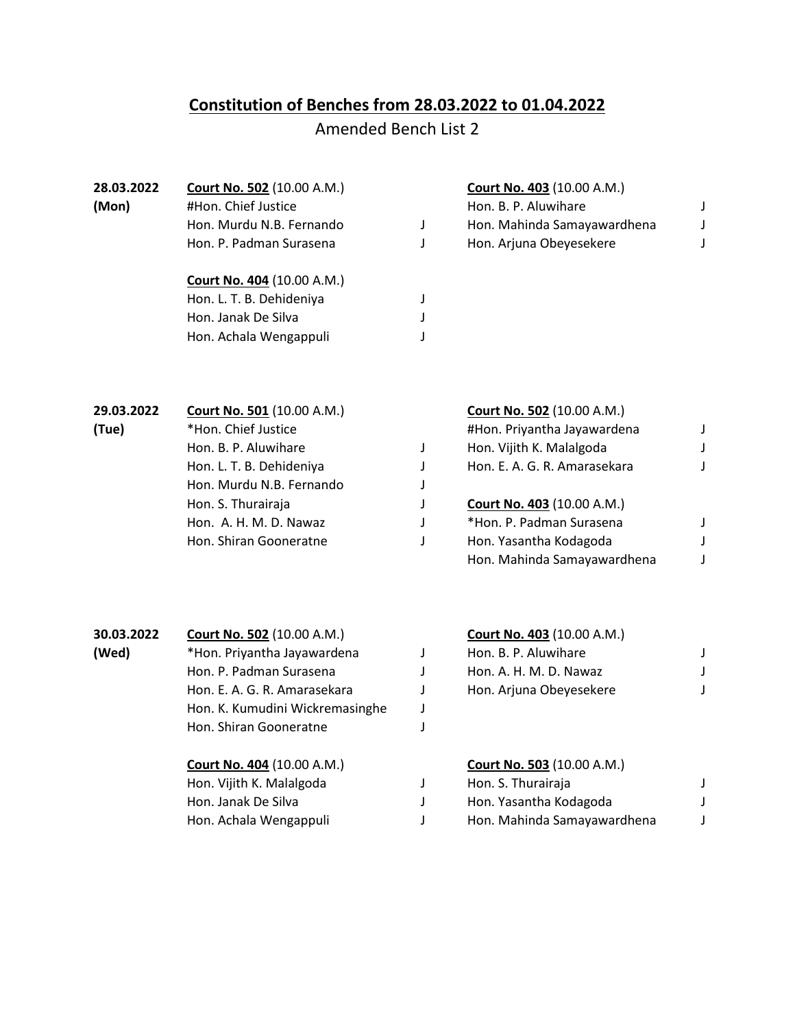# **Constitution of Benches from 28.03.2022 to 01.04.2022**

## Amended Bench List 2

| 28.03.2022 | <b>Court No. 502 (10.00 A.M.)</b> | Court No. 403 (10.00 A.M.)  |  |
|------------|-----------------------------------|-----------------------------|--|
| (Mon)      | #Hon. Chief Justice               | Hon. B. P. Aluwihare        |  |
|            | Hon. Murdu N.B. Fernando          | Hon. Mahinda Samayawardhena |  |
|            | Hon. P. Padman Surasena           | Hon. Arjuna Obeyesekere     |  |
|            | <b>Court No. 404 (10.00 A.M.)</b> |                             |  |
|            | Hon. L. T. B. Dehideniya          |                             |  |
|            | Hon. Janak De Silva               |                             |  |
|            | Hon. Achala Wengappuli            |                             |  |

| 29.03.2022 | Court No. 501 (10.00 A.M.) | Court No. 502 (10.00 A.M.)        |  |
|------------|----------------------------|-----------------------------------|--|
| (Tue)      | *Hon. Chief Justice        | #Hon. Priyantha Jayawardena       |  |
|            | Hon. B. P. Aluwihare       | Hon. Vijith K. Malalgoda          |  |
|            | Hon. L. T. B. Dehideniya   | Hon. E. A. G. R. Amarasekara      |  |
|            | Hon. Murdu N.B. Fernando   |                                   |  |
|            | Hon. S. Thurairaja         | <b>Court No. 403 (10.00 A.M.)</b> |  |
|            | Hon. A. H. M. D. Nawaz     | *Hon. P. Padman Surasena          |  |
|            | Hon. Shiran Gooneratne     | Hon. Yasantha Kodagoda            |  |
|            |                            | Hon. Mahinda Samayawardhena       |  |

| 30.03.2022 | <b>Court No. 502 (10.00 A.M.)</b> |  |
|------------|-----------------------------------|--|
| (Wed)      | *Hon. Priyantha Jayawardena       |  |
|            | Hon. P. Padman Surasena           |  |
|            | Hon. E. A. G. R. Amarasekara      |  |
|            | Hon. K. Kumudini Wickremasinghe   |  |
|            | Hon. Shiran Gooneratne            |  |
|            | <b>Court No. 404 (10.00 A.M.)</b> |  |

Hon. Vijith K. Malalgoda Hon. Janak De Silva

#### **30.03.2022 Court No. 502** (10.00 A.M.) **Court No. 403** (10.00 A.M.) **(Hon. B. P. Aluwihare J)**

| Hon. P. Padman Surasena      | Hon. A. H. M. D. Nawaz  |  |
|------------------------------|-------------------------|--|
| Hon. E. A. G. R. Amarasekara | Hon. Arjuna Obeyesekere |  |

## **Court No. 404** (10.00 A.M.) **Court No. 503** (10.00 A.M.)

| Hon. Vijith K. Malalgoda | Hon. S. Thurairaja          |  |
|--------------------------|-----------------------------|--|
| Hon. Janak De Silva      | Hon. Yasantha Kodagoda      |  |
| Hon. Achala Wengappuli   | Hon. Mahinda Samayawardhena |  |